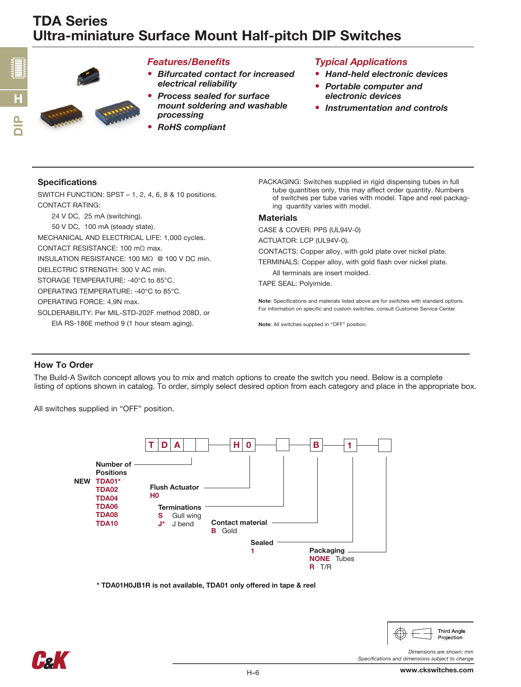

### *Features/Benefits*

- *Bifurcated contact for increased electrical reliability*
- *Process sealed for surface mount soldering and washable processing*
- *RoHS compliant*

## *Typical Applications*

- *Hand-held electronic devices*
- *Portable computer and electronic devices*
- *Instrumentation and controls*

#### Specifications

n<br>D

H

SWITCH FUNCTION: SPST – 1, 2, 4, 6, 8 & 10 positions. CONTACT RATING:

24 V DC, 25 mA (switching).

50 V DC, 100 mA (steady state).

MECHANICAL AND ELECTRICAL LIFE: 1,000 cycles.

CONTACT RESISTANCE: 100 mΩ max.

INSULATION RESISTANCE: 100 MΩ @ 100 V DC min.

DIELECTRIC STRENGTH: 300 V AC min.

STORAGE TEMPERATURE: -40°C to 85°C.

OPERATING TEMPERATURE: -40°C to 85°C.

OPERATING FORCE: 4,9N max.

SOLDERABILITY: Per MIL-STD-202F method 208D, or

EIA RS-186E method 9 (1 hour steam aging).

PACKAGING: Switches supplied in rigid dispensing tubes in full tube quantities only, this may affect order quantity. Numbers of switches per tube varies with model. Tape and reel packaging quantity varies with model.

#### **Materials**

CASE & COVER: PPS (UL94V-0)

ACTUATOR: LCP (UL94V-0).

CONTACTS: Copper alloy, with gold plate over nickel plate.

TERMINALS: Copper alloy, with gold flash over nickel plate.

All terminals are insert molded.

TAPE SEAL: Polyimide.

Note: Specifications and materials listed above are for switches with standard options. For information on specific and custom switches, consult Customer Service Center.

Note: All switches supplied in "OFF" position.

### How To Order

The Build-A Switch concept allows you to mix and match options to create the switch you need. Below is a complete listing of options shown in catalog. To order, simply select desired option from each category and place in the appropriate box.

All switches supplied in "OFF" position.



\* TDA01H0JB1R is not available, TDA01 only offered in tape & reel



**Third Angle** Projection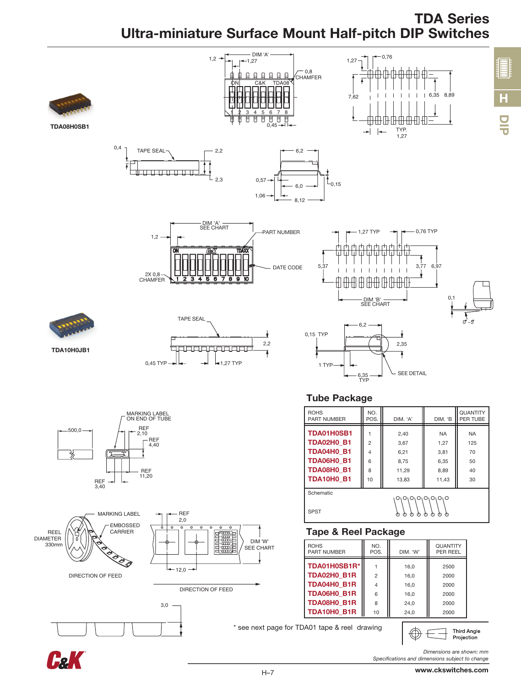# TDA Series Ultra-miniature Surface Mount Half-pitch DIP Switches





*Specifications and dimensions subject to change*

DIP

H